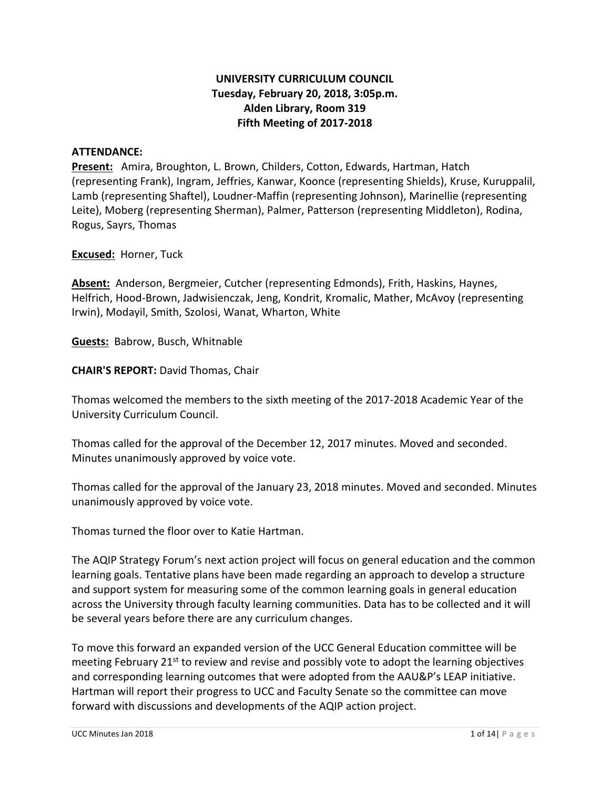## **UNIVERSITY CURRICULUM COUNCIL Tuesday, February 20, 2018, 3:05p.m. Alden Library, Room 319 Fifth Meeting of 2017-2018**

#### **ATTENDANCE:**

**Present:** Amira, Broughton, L. Brown, Childers, Cotton, Edwards, Hartman, Hatch (representing Frank), Ingram, Jeffries, Kanwar, Koonce (representing Shields), Kruse, Kuruppalil, Lamb (representing Shaftel), Loudner-Maffin (representing Johnson), Marinellie (representing Leite), Moberg (representing Sherman), Palmer, Patterson (representing Middleton), Rodina, Rogus, Sayrs, Thomas

**Excused:** Horner, Tuck

**Absent:** Anderson, Bergmeier, Cutcher (representing Edmonds), Frith, Haskins, Haynes, Helfrich, Hood-Brown, Jadwisienczak, Jeng, Kondrit, Kromalic, Mather, McAvoy (representing Irwin), Modayil, Smith, Szolosi, Wanat, Wharton, White

**Guests:** Babrow, Busch, Whitnable

**CHAIR'S REPORT:** David Thomas, Chair

Thomas welcomed the members to the sixth meeting of the 2017-2018 Academic Year of the University Curriculum Council.

Thomas called for the approval of the December 12, 2017 minutes. Moved and seconded. Minutes unanimously approved by voice vote.

Thomas called for the approval of the January 23, 2018 minutes. Moved and seconded. Minutes unanimously approved by voice vote.

Thomas turned the floor over to Katie Hartman.

The AQIP Strategy Forum's next action project will focus on general education and the common learning goals. Tentative plans have been made regarding an approach to develop a structure and support system for measuring some of the common learning goals in general education across the University through faculty learning communities. Data has to be collected and it will be several years before there are any curriculum changes.

To move this forward an expanded version of the UCC General Education committee will be meeting February 21<sup>st</sup> to review and revise and possibly vote to adopt the learning objectives and corresponding learning outcomes that were adopted from the AAU&P's LEAP initiative. Hartman will report their progress to UCC and Faculty Senate so the committee can move forward with discussions and developments of the AQIP action project.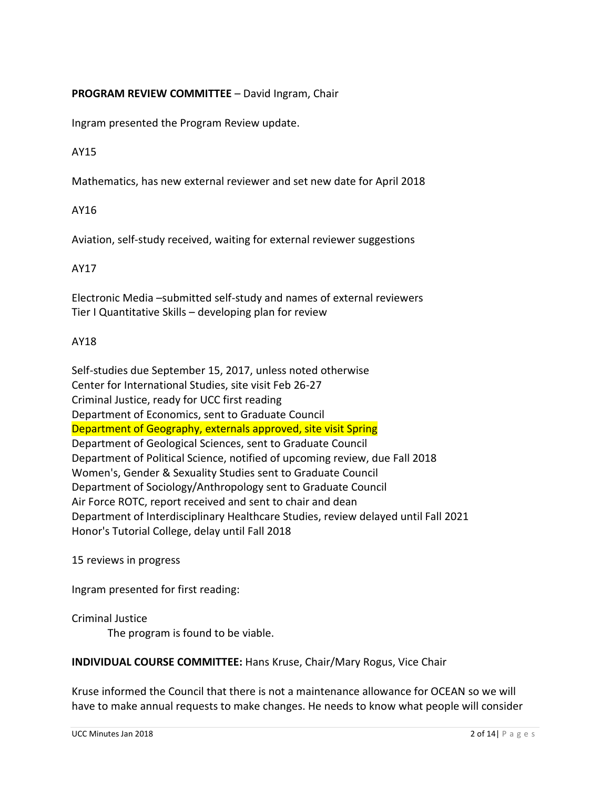#### **PROGRAM REVIEW COMMITTEE** – David Ingram, Chair

Ingram presented the Program Review update.

#### AY15

Mathematics, has new external reviewer and set new date for April 2018

#### AY16

Aviation, self-study received, waiting for external reviewer suggestions

#### AY17

Electronic Media –submitted self-study and names of external reviewers Tier I Quantitative Skills – developing plan for review

#### AY18

Self-studies due September 15, 2017, unless noted otherwise Center for International Studies, site visit Feb 26-27 Criminal Justice, ready for UCC first reading Department of Economics, sent to Graduate Council Department of Geography, externals approved, site visit Spring Department of Geological Sciences, sent to Graduate Council Department of Political Science, notified of upcoming review, due Fall 2018 Women's, Gender & Sexuality Studies sent to Graduate Council Department of Sociology/Anthropology sent to Graduate Council Air Force ROTC, report received and sent to chair and dean Department of Interdisciplinary Healthcare Studies, review delayed until Fall 2021 Honor's Tutorial College, delay until Fall 2018

15 reviews in progress

Ingram presented for first reading:

Criminal Justice The program is found to be viable.

#### **INDIVIDUAL COURSE COMMITTEE:** Hans Kruse, Chair/Mary Rogus, Vice Chair

Kruse informed the Council that there is not a maintenance allowance for OCEAN so we will have to make annual requests to make changes. He needs to know what people will consider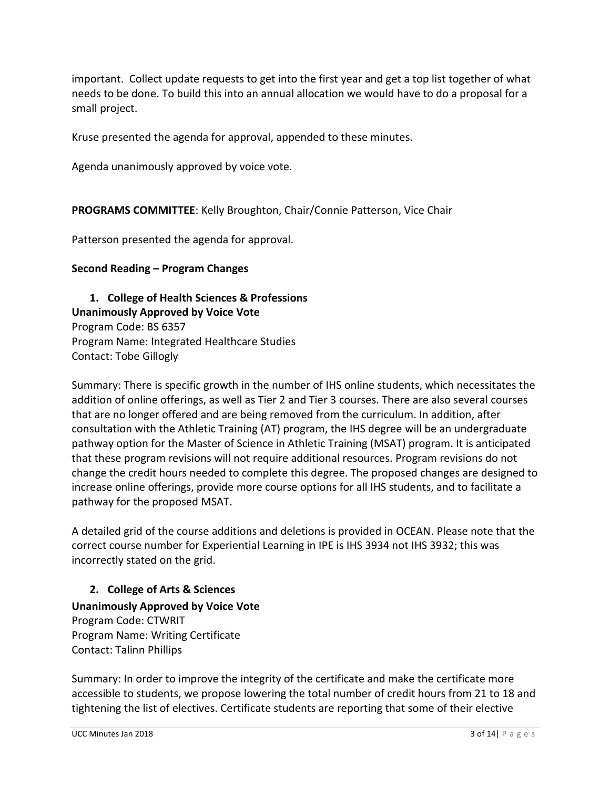important. Collect update requests to get into the first year and get a top list together of what needs to be done. To build this into an annual allocation we would have to do a proposal for a small project.

Kruse presented the agenda for approval, appended to these minutes.

Agenda unanimously approved by voice vote.

**PROGRAMS COMMITTEE**: Kelly Broughton, Chair/Connie Patterson, Vice Chair

Patterson presented the agenda for approval.

#### **Second Reading – Program Changes**

**1. College of Health Sciences & Professions Unanimously Approved by Voice Vote** Program Code: BS 6357 Program Name: Integrated Healthcare Studies Contact: Tobe Gillogly

Summary: There is specific growth in the number of IHS online students, which necessitates the addition of online offerings, as well as Tier 2 and Tier 3 courses. There are also several courses that are no longer offered and are being removed from the curriculum. In addition, after consultation with the Athletic Training (AT) program, the IHS degree will be an undergraduate pathway option for the Master of Science in Athletic Training (MSAT) program. It is anticipated that these program revisions will not require additional resources. Program revisions do not change the credit hours needed to complete this degree. The proposed changes are designed to increase online offerings, provide more course options for all IHS students, and to facilitate a pathway for the proposed MSAT.

A detailed grid of the course additions and deletions is provided in OCEAN. Please note that the correct course number for Experiential Learning in IPE is IHS 3934 not IHS 3932; this was incorrectly stated on the grid.

## **2. College of Arts & Sciences**

**Unanimously Approved by Voice Vote** Program Code: CTWRIT Program Name: Writing Certificate Contact: Talinn Phillips

Summary: In order to improve the integrity of the certificate and make the certificate more accessible to students, we propose lowering the total number of credit hours from 21 to 18 and tightening the list of electives. Certificate students are reporting that some of their elective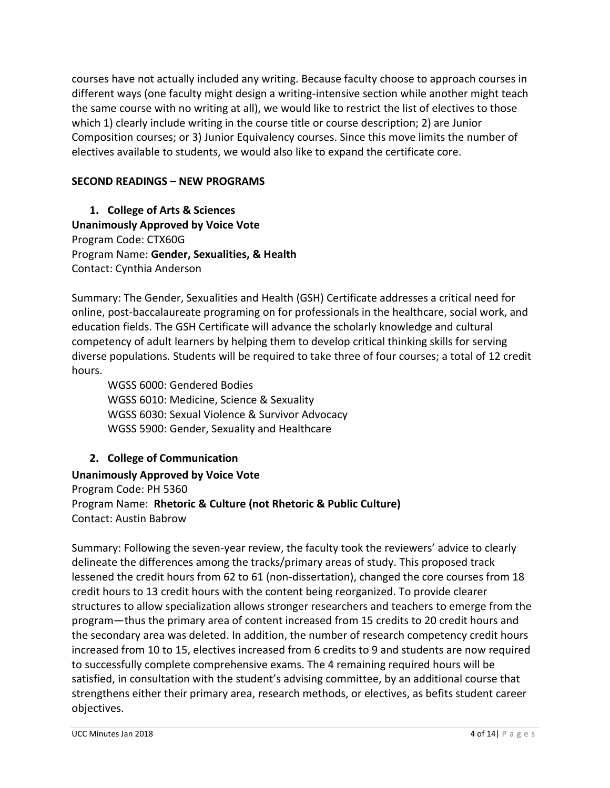courses have not actually included any writing. Because faculty choose to approach courses in different ways (one faculty might design a writing-intensive section while another might teach the same course with no writing at all), we would like to restrict the list of electives to those which 1) clearly include writing in the course title or course description; 2) are Junior Composition courses; or 3) Junior Equivalency courses. Since this move limits the number of electives available to students, we would also like to expand the certificate core.

## **SECOND READINGS – NEW PROGRAMS**

**1. College of Arts & Sciences Unanimously Approved by Voice Vote** Program Code: CTX60G Program Name: **Gender, Sexualities, & Health** Contact: Cynthia Anderson

Summary: The Gender, Sexualities and Health (GSH) Certificate addresses a critical need for online, post-baccalaureate programing on for professionals in the healthcare, social work, and education fields. The GSH Certificate will advance the scholarly knowledge and cultural competency of adult learners by helping them to develop critical thinking skills for serving diverse populations. Students will be required to take three of four courses; a total of 12 credit hours.

WGSS 6000: Gendered Bodies WGSS 6010: Medicine, Science & Sexuality WGSS 6030: Sexual Violence & Survivor Advocacy WGSS 5900: Gender, Sexuality and Healthcare

# **2. College of Communication**

**Unanimously Approved by Voice Vote** Program Code: PH 5360 Program Name: **Rhetoric & Culture (not Rhetoric & Public Culture)** Contact: Austin Babrow

Summary: Following the seven-year review, the faculty took the reviewers' advice to clearly delineate the differences among the tracks/primary areas of study. This proposed track lessened the credit hours from 62 to 61 (non-dissertation), changed the core courses from 18 credit hours to 13 credit hours with the content being reorganized. To provide clearer structures to allow specialization allows stronger researchers and teachers to emerge from the program—thus the primary area of content increased from 15 credits to 20 credit hours and the secondary area was deleted. In addition, the number of research competency credit hours increased from 10 to 15, electives increased from 6 credits to 9 and students are now required to successfully complete comprehensive exams. The 4 remaining required hours will be satisfied, in consultation with the student's advising committee, by an additional course that strengthens either their primary area, research methods, or electives, as befits student career objectives.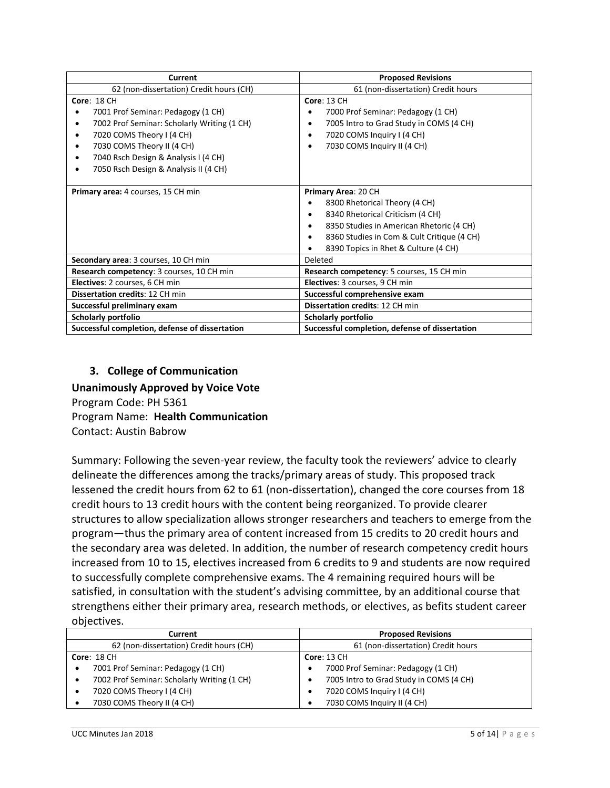| Current                                                                                                                                                                                                                                             | <b>Proposed Revisions</b>                                                                                                                                                                                                               |
|-----------------------------------------------------------------------------------------------------------------------------------------------------------------------------------------------------------------------------------------------------|-----------------------------------------------------------------------------------------------------------------------------------------------------------------------------------------------------------------------------------------|
| 62 (non-dissertation) Credit hours (CH)                                                                                                                                                                                                             | 61 (non-dissertation) Credit hours                                                                                                                                                                                                      |
| <b>Core: 18 CH</b><br>7001 Prof Seminar: Pedagogy (1 CH)<br>7002 Prof Seminar: Scholarly Writing (1 CH)<br>7020 COMS Theory I (4 CH)<br>7030 COMS Theory II (4 CH)<br>7040 Rsch Design & Analysis I (4 CH)<br>7050 Rsch Design & Analysis II (4 CH) | <b>Core: 13 CH</b><br>7000 Prof Seminar: Pedagogy (1 CH)<br>٠<br>7005 Intro to Grad Study in COMS (4 CH)<br>7020 COMS Inquiry I (4 CH)<br>٠<br>7030 COMS Inquiry II (4 CH)                                                              |
| Primary area: 4 courses, 15 CH min                                                                                                                                                                                                                  | Primary Area: 20 CH<br>8300 Rhetorical Theory (4 CH)<br>8340 Rhetorical Criticism (4 CH)<br>$\bullet$<br>8350 Studies in American Rhetoric (4 CH)<br>8360 Studies in Com & Cult Critique (4 CH)<br>8390 Topics in Rhet & Culture (4 CH) |
| Secondary area: 3 courses, 10 CH min                                                                                                                                                                                                                | Deleted                                                                                                                                                                                                                                 |
| Research competency: 3 courses, 10 CH min                                                                                                                                                                                                           | Research competency: 5 courses, 15 CH min                                                                                                                                                                                               |
| Electives: 2 courses, 6 CH min                                                                                                                                                                                                                      | Electives: 3 courses, 9 CH min                                                                                                                                                                                                          |
| Dissertation credits: 12 CH min                                                                                                                                                                                                                     | Successful comprehensive exam                                                                                                                                                                                                           |
| Successful preliminary exam                                                                                                                                                                                                                         | <b>Dissertation credits: 12 CH min</b>                                                                                                                                                                                                  |
| Scholarly portfolio                                                                                                                                                                                                                                 | Scholarly portfolio                                                                                                                                                                                                                     |
| Successful completion, defense of dissertation                                                                                                                                                                                                      | Successful completion, defense of dissertation                                                                                                                                                                                          |

#### **3. College of Communication**

**Unanimously Approved by Voice Vote** Program Code: PH 5361 Program Name: **Health Communication** Contact: Austin Babrow

Summary: Following the seven-year review, the faculty took the reviewers' advice to clearly delineate the differences among the tracks/primary areas of study. This proposed track lessened the credit hours from 62 to 61 (non-dissertation), changed the core courses from 18 credit hours to 13 credit hours with the content being reorganized. To provide clearer structures to allow specialization allows stronger researchers and teachers to emerge from the program—thus the primary area of content increased from 15 credits to 20 credit hours and the secondary area was deleted. In addition, the number of research competency credit hours increased from 10 to 15, electives increased from 6 credits to 9 and students are now required to successfully complete comprehensive exams. The 4 remaining required hours will be satisfied, in consultation with the student's advising committee, by an additional course that strengthens either their primary area, research methods, or electives, as befits student career objectives.

| Current                                          | <b>Proposed Revisions</b>               |
|--------------------------------------------------|-----------------------------------------|
| 62 (non-dissertation) Credit hours (CH)          | 61 (non-dissertation) Credit hours      |
| <b>Core: 18 CH</b>                               | <b>Core: 13 CH</b>                      |
| 7001 Prof Seminar: Pedagogy (1 CH)<br>٠          | 7000 Prof Seminar: Pedagogy (1 CH)      |
| 7002 Prof Seminar: Scholarly Writing (1 CH)<br>٠ | 7005 Intro to Grad Study in COMS (4 CH) |
| 7020 COMS Theory I (4 CH)                        | 7020 COMS Inquiry I (4 CH)              |
| 7030 COMS Theory II (4 CH)                       | 7030 COMS Inquiry II (4 CH)             |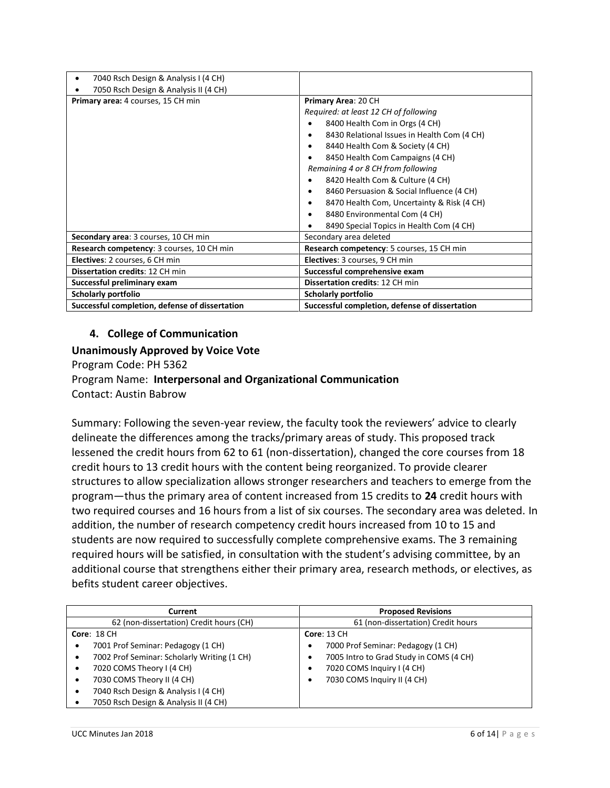| 7040 Rsch Design & Analysis I (4 CH)           |                                                |
|------------------------------------------------|------------------------------------------------|
| 7050 Rsch Design & Analysis II (4 CH)          |                                                |
| Primary area: 4 courses, 15 CH min             | Primary Area: 20 CH                            |
|                                                | Required: at least 12 CH of following          |
|                                                | 8400 Health Com in Orgs (4 CH)                 |
|                                                | 8430 Relational Issues in Health Com (4 CH)    |
|                                                | 8440 Health Com & Society (4 CH)               |
|                                                | 8450 Health Com Campaigns (4 CH)               |
|                                                | Remaining 4 or 8 CH from following             |
|                                                | 8420 Health Com & Culture (4 CH)               |
|                                                | 8460 Persuasion & Social Influence (4 CH)      |
|                                                | 8470 Health Com, Uncertainty & Risk (4 CH)     |
|                                                | 8480 Environmental Com (4 CH)                  |
|                                                | 8490 Special Topics in Health Com (4 CH)       |
| Secondary area: 3 courses, 10 CH min           | Secondary area deleted                         |
| Research competency: 3 courses, 10 CH min      | Research competency: 5 courses, 15 CH min      |
| Electives: 2 courses, 6 CH min                 | Electives: 3 courses, 9 CH min                 |
| Dissertation credits: 12 CH min                | Successful comprehensive exam                  |
| Successful preliminary exam                    | Dissertation credits: 12 CH min                |
| Scholarly portfolio                            | <b>Scholarly portfolio</b>                     |
| Successful completion, defense of dissertation | Successful completion, defense of dissertation |

## **4. College of Communication**

#### **Unanimously Approved by Voice Vote**

Program Code: PH 5362

# Program Name: **Interpersonal and Organizational Communication**

Contact: Austin Babrow

Summary: Following the seven-year review, the faculty took the reviewers' advice to clearly delineate the differences among the tracks/primary areas of study. This proposed track lessened the credit hours from 62 to 61 (non-dissertation), changed the core courses from 18 credit hours to 13 credit hours with the content being reorganized. To provide clearer structures to allow specialization allows stronger researchers and teachers to emerge from the program—thus the primary area of content increased from 15 credits to **24** credit hours with two required courses and 16 hours from a list of six courses. The secondary area was deleted. In addition, the number of research competency credit hours increased from 10 to 15 and students are now required to successfully complete comprehensive exams. The 3 remaining required hours will be satisfied, in consultation with the student's advising committee, by an additional course that strengthens either their primary area, research methods, or electives, as befits student career objectives.

| Current                                          | <b>Proposed Revisions</b>               |
|--------------------------------------------------|-----------------------------------------|
| 62 (non-dissertation) Credit hours (CH)          | 61 (non-dissertation) Credit hours      |
| <b>Core: 18 CH</b>                               | <b>Core: 13 CH</b>                      |
| 7001 Prof Seminar: Pedagogy (1 CH)<br>$\bullet$  | 7000 Prof Seminar: Pedagogy (1 CH)      |
| 7002 Prof Seminar: Scholarly Writing (1 CH)<br>٠ | 7005 Intro to Grad Study in COMS (4 CH) |
| 7020 COMS Theory I (4 CH)<br>٠                   | 7020 COMS Inquiry I (4 CH)              |
| 7030 COMS Theory II (4 CH)<br>٠                  | 7030 COMS Inquiry II (4 CH)             |
| 7040 Rsch Design & Analysis I (4 CH)<br>٠        |                                         |
| 7050 Rsch Design & Analysis II (4 CH)<br>٠       |                                         |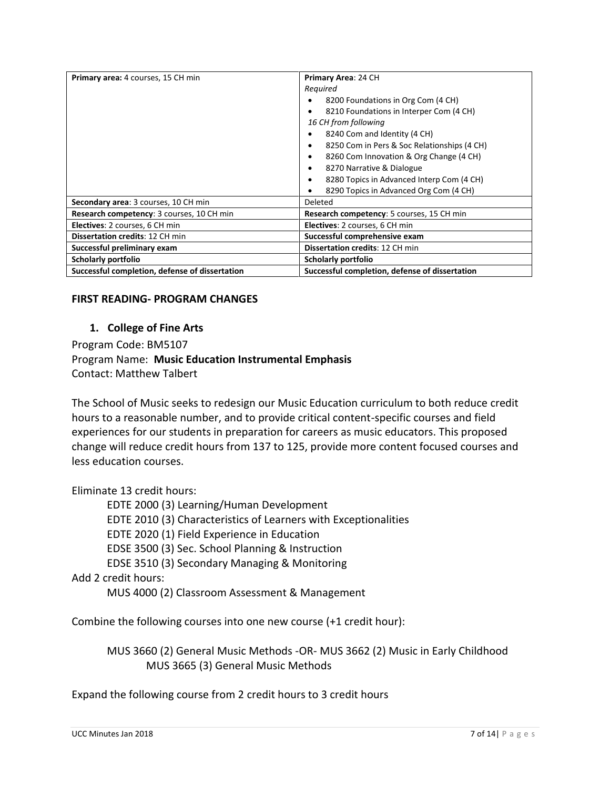| Primary area: 4 courses, 15 CH min             | Primary Area: 24 CH                            |
|------------------------------------------------|------------------------------------------------|
|                                                | Required                                       |
|                                                | 8200 Foundations in Org Com (4 CH)             |
|                                                | 8210 Foundations in Interper Com (4 CH)        |
|                                                | 16 CH from following                           |
|                                                | 8240 Com and Identity (4 CH)                   |
|                                                | 8250 Com in Pers & Soc Relationships (4 CH)    |
|                                                | 8260 Com Innovation & Org Change (4 CH)        |
|                                                | 8270 Narrative & Dialogue                      |
|                                                | 8280 Topics in Advanced Interp Com (4 CH)      |
|                                                | 8290 Topics in Advanced Org Com (4 CH)         |
| Secondary area: 3 courses, 10 CH min           | Deleted                                        |
| Research competency: 3 courses, 10 CH min      | Research competency: 5 courses, 15 CH min      |
| Electives: 2 courses, 6 CH min                 | Electives: 2 courses, 6 CH min                 |
| <b>Dissertation credits: 12 CH min</b>         | Successful comprehensive exam                  |
| Successful preliminary exam                    | <b>Dissertation credits: 12 CH min</b>         |
| Scholarly portfolio                            | Scholarly portfolio                            |
| Successful completion, defense of dissertation | Successful completion, defense of dissertation |

#### **FIRST READING- PROGRAM CHANGES**

#### **1. College of Fine Arts**

Program Code: BM5107 Program Name: **Music Education Instrumental Emphasis** Contact: Matthew Talbert

The School of Music seeks to redesign our Music Education curriculum to both reduce credit hours to a reasonable number, and to provide critical content-specific courses and field experiences for our students in preparation for careers as music educators. This proposed change will reduce credit hours from 137 to 125, provide more content focused courses and less education courses.

Eliminate 13 credit hours:

EDTE 2000 (3) Learning/Human Development EDTE 2010 (3) Characteristics of Learners with Exceptionalities EDTE 2020 (1) Field Experience in Education EDSE 3500 (3) Sec. School Planning & Instruction EDSE 3510 (3) Secondary Managing & Monitoring Add 2 credit hours:

MUS 4000 (2) Classroom Assessment & Management

Combine the following courses into one new course (+1 credit hour):

MUS 3660 (2) General Music Methods -OR- MUS 3662 (2) Music in Early Childhood MUS 3665 (3) General Music Methods

Expand the following course from 2 credit hours to 3 credit hours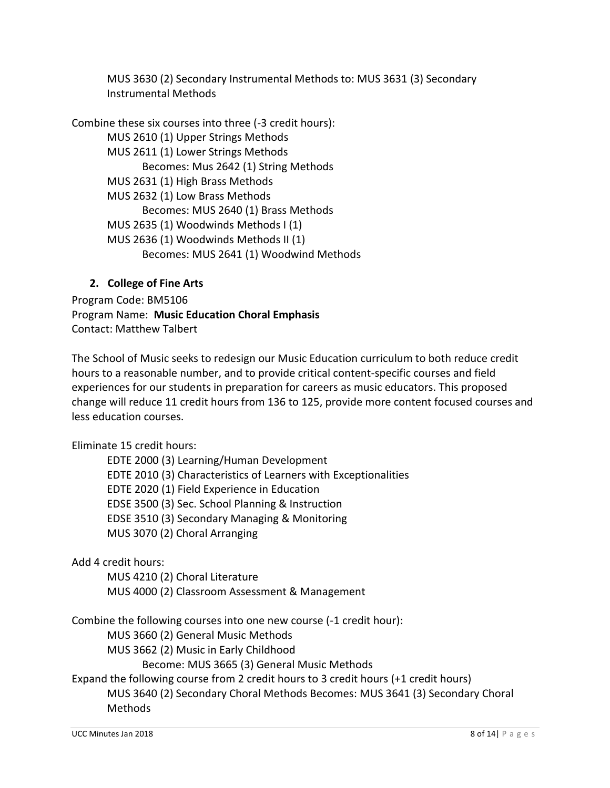MUS 3630 (2) Secondary Instrumental Methods to: MUS 3631 (3) Secondary Instrumental Methods

Combine these six courses into three (-3 credit hours): MUS 2610 (1) Upper Strings Methods MUS 2611 (1) Lower Strings Methods Becomes: Mus 2642 (1) String Methods MUS 2631 (1) High Brass Methods MUS 2632 (1) Low Brass Methods Becomes: MUS 2640 (1) Brass Methods MUS 2635 (1) Woodwinds Methods I (1) MUS 2636 (1) Woodwinds Methods II (1) Becomes: MUS 2641 (1) Woodwind Methods

## **2. College of Fine Arts**

Program Code: BM5106 Program Name: **Music Education Choral Emphasis** Contact: Matthew Talbert

The School of Music seeks to redesign our Music Education curriculum to both reduce credit hours to a reasonable number, and to provide critical content-specific courses and field experiences for our students in preparation for careers as music educators. This proposed change will reduce 11 credit hours from 136 to 125, provide more content focused courses and less education courses.

Eliminate 15 credit hours:

EDTE 2000 (3) Learning/Human Development EDTE 2010 (3) Characteristics of Learners with Exceptionalities EDTE 2020 (1) Field Experience in Education EDSE 3500 (3) Sec. School Planning & Instruction EDSE 3510 (3) Secondary Managing & Monitoring MUS 3070 (2) Choral Arranging

Add 4 credit hours:

MUS 4210 (2) Choral Literature MUS 4000 (2) Classroom Assessment & Management

Combine the following courses into one new course (-1 credit hour):

MUS 3660 (2) General Music Methods

MUS 3662 (2) Music in Early Childhood

Become: MUS 3665 (3) General Music Methods

Expand the following course from 2 credit hours to 3 credit hours (+1 credit hours) MUS 3640 (2) Secondary Choral Methods Becomes: MUS 3641 (3) Secondary Choral Methods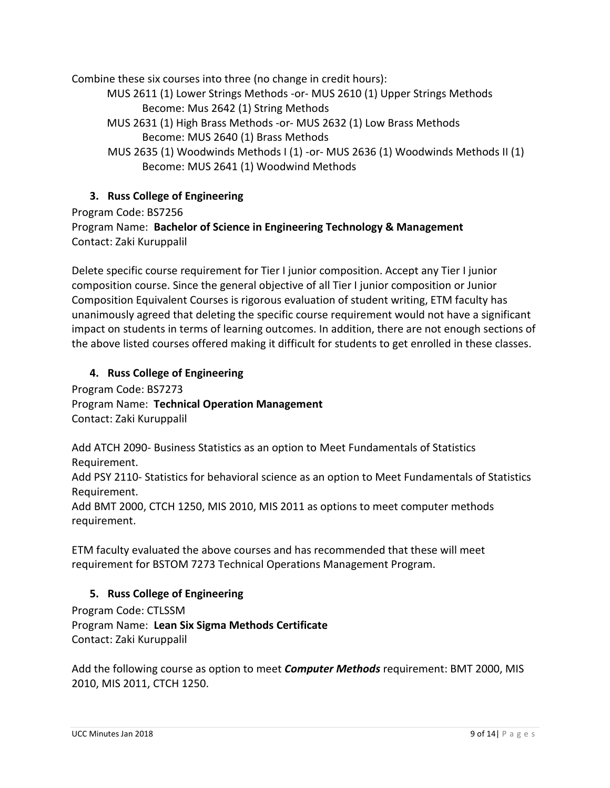Combine these six courses into three (no change in credit hours):

MUS 2611 (1) Lower Strings Methods -or- MUS 2610 (1) Upper Strings Methods Become: Mus 2642 (1) String Methods

MUS 2631 (1) High Brass Methods -or- MUS 2632 (1) Low Brass Methods Become: MUS 2640 (1) Brass Methods

MUS 2635 (1) Woodwinds Methods I (1) -or- MUS 2636 (1) Woodwinds Methods II (1) Become: MUS 2641 (1) Woodwind Methods

## **3. Russ College of Engineering**

Program Code: BS7256

Program Name: **Bachelor of Science in Engineering Technology & Management** Contact: Zaki Kuruppalil

Delete specific course requirement for Tier I junior composition. Accept any Tier I junior composition course. Since the general objective of all Tier I junior composition or Junior Composition Equivalent Courses is rigorous evaluation of student writing, ETM faculty has unanimously agreed that deleting the specific course requirement would not have a significant impact on students in terms of learning outcomes. In addition, there are not enough sections of the above listed courses offered making it difficult for students to get enrolled in these classes.

## **4. Russ College of Engineering**

Program Code: BS7273 Program Name: **Technical Operation Management** Contact: Zaki Kuruppalil

Add ATCH 2090- Business Statistics as an option to Meet Fundamentals of Statistics Requirement.

Add PSY 2110- Statistics for behavioral science as an option to Meet Fundamentals of Statistics Requirement.

Add BMT 2000, CTCH 1250, MIS 2010, MIS 2011 as options to meet computer methods requirement.

ETM faculty evaluated the above courses and has recommended that these will meet requirement for BSTOM 7273 Technical Operations Management Program.

## **5. Russ College of Engineering**

Program Code: CTLSSM Program Name: **Lean Six Sigma Methods Certificate**  Contact: Zaki Kuruppalil

Add the following course as option to meet *Computer Methods* requirement: BMT 2000, MIS 2010, MIS 2011, CTCH 1250.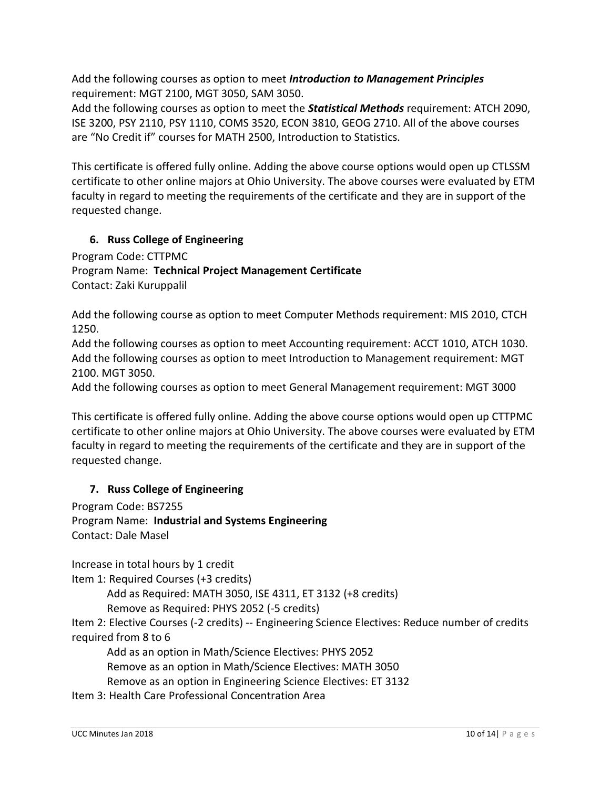Add the following courses as option to meet *Introduction to Management Principles* requirement: MGT 2100, MGT 3050, SAM 3050.

Add the following courses as option to meet the *Statistical Methods* requirement: ATCH 2090, ISE 3200, PSY 2110, PSY 1110, COMS 3520, ECON 3810, GEOG 2710. All of the above courses are "No Credit if" courses for MATH 2500, Introduction to Statistics.

This certificate is offered fully online. Adding the above course options would open up CTLSSM certificate to other online majors at Ohio University. The above courses were evaluated by ETM faculty in regard to meeting the requirements of the certificate and they are in support of the requested change.

## **6. Russ College of Engineering**

Program Code: CTTPMC Program Name: **Technical Project Management Certificate**  Contact: Zaki Kuruppalil

Add the following course as option to meet Computer Methods requirement: MIS 2010, CTCH 1250.

Add the following courses as option to meet Accounting requirement: ACCT 1010, ATCH 1030. Add the following courses as option to meet Introduction to Management requirement: MGT 2100. MGT 3050.

Add the following courses as option to meet General Management requirement: MGT 3000

This certificate is offered fully online. Adding the above course options would open up CTTPMC certificate to other online majors at Ohio University. The above courses were evaluated by ETM faculty in regard to meeting the requirements of the certificate and they are in support of the requested change.

# **7. Russ College of Engineering**

Program Code: BS7255 Program Name: **Industrial and Systems Engineering** Contact: Dale Masel

Increase in total hours by 1 credit Item 1: Required Courses (+3 credits)

Add as Required: MATH 3050, ISE 4311, ET 3132 (+8 credits)

Remove as Required: PHYS 2052 (-5 credits)

Item 2: Elective Courses (-2 credits) -- Engineering Science Electives: Reduce number of credits required from 8 to 6

Add as an option in Math/Science Electives: PHYS 2052 Remove as an option in Math/Science Electives: MATH 3050 Remove as an option in Engineering Science Electives: ET 3132

Item 3: Health Care Professional Concentration Area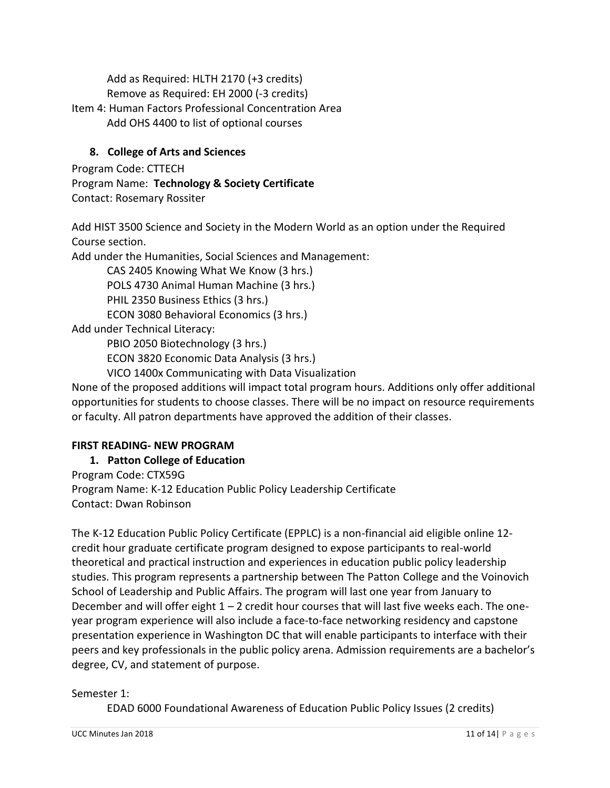Add as Required: HLTH 2170 (+3 credits)

Remove as Required: EH 2000 (-3 credits)

Item 4: Human Factors Professional Concentration Area Add OHS 4400 to list of optional courses

# **8. College of Arts and Sciences**

Program Code: CTTECH Program Name: **Technology & Society Certificate** Contact: Rosemary Rossiter

Add HIST 3500 Science and Society in the Modern World as an option under the Required Course section.

Add under the Humanities, Social Sciences and Management:

CAS 2405 Knowing What We Know (3 hrs.)

POLS 4730 Animal Human Machine (3 hrs.)

PHIL 2350 Business Ethics (3 hrs.)

ECON 3080 Behavioral Economics (3 hrs.)

Add under Technical Literacy:

PBIO 2050 Biotechnology (3 hrs.)

ECON 3820 Economic Data Analysis (3 hrs.)

VICO 1400x Communicating with Data Visualization

None of the proposed additions will impact total program hours. Additions only offer additional opportunities for students to choose classes. There will be no impact on resource requirements or faculty. All patron departments have approved the addition of their classes.

## **FIRST READING- NEW PROGRAM**

# **1. Patton College of Education**

Program Code: CTX59G Program Name: K-12 Education Public Policy Leadership Certificate Contact: Dwan Robinson

The K-12 Education Public Policy Certificate (EPPLC) is a non-financial aid eligible online 12 credit hour graduate certificate program designed to expose participants to real-world theoretical and practical instruction and experiences in education public policy leadership studies. This program represents a partnership between The Patton College and the Voinovich School of Leadership and Public Affairs. The program will last one year from January to December and will offer eight  $1 - 2$  credit hour courses that will last five weeks each. The oneyear program experience will also include a face-to-face networking residency and capstone presentation experience in Washington DC that will enable participants to interface with their peers and key professionals in the public policy arena. Admission requirements are a bachelor's degree, CV, and statement of purpose.

#### Semester 1:

EDAD 6000 Foundational Awareness of Education Public Policy Issues (2 credits)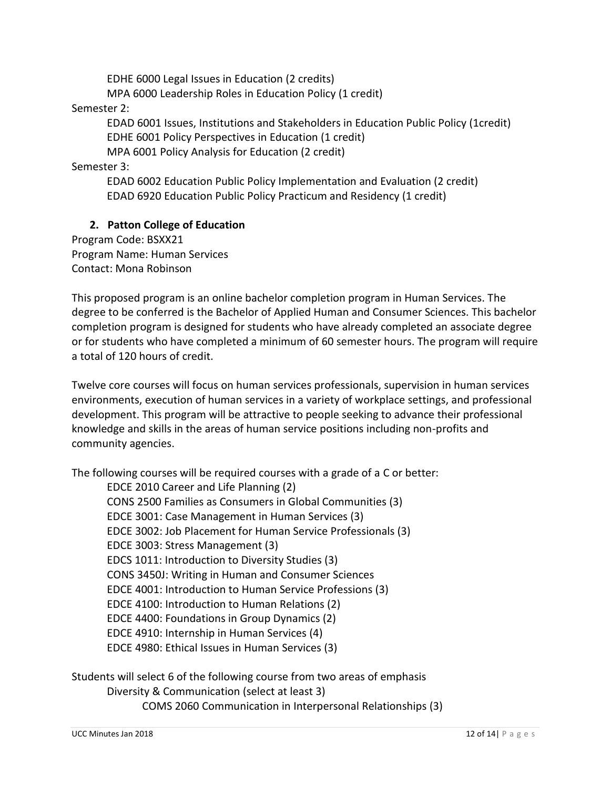EDHE 6000 Legal Issues in Education (2 credits) MPA 6000 Leadership Roles in Education Policy (1 credit)

Semester 2:

EDAD 6001 Issues, Institutions and Stakeholders in Education Public Policy (1credit) EDHE 6001 Policy Perspectives in Education (1 credit)

MPA 6001 Policy Analysis for Education (2 credit)

Semester 3:

EDAD 6002 Education Public Policy Implementation and Evaluation (2 credit) EDAD 6920 Education Public Policy Practicum and Residency (1 credit)

#### **2. Patton College of Education**

Program Code: BSXX21 Program Name: Human Services Contact: Mona Robinson

This proposed program is an online bachelor completion program in Human Services. The degree to be conferred is the Bachelor of Applied Human and Consumer Sciences. This bachelor completion program is designed for students who have already completed an associate degree or for students who have completed a minimum of 60 semester hours. The program will require a total of 120 hours of credit.

Twelve core courses will focus on human services professionals, supervision in human services environments, execution of human services in a variety of workplace settings, and professional development. This program will be attractive to people seeking to advance their professional knowledge and skills in the areas of human service positions including non-profits and community agencies.

The following courses will be required courses with a grade of a C or better:

EDCE 2010 Career and Life Planning (2) CONS 2500 Families as Consumers in Global Communities (3) EDCE 3001: Case Management in Human Services (3) EDCE 3002: Job Placement for Human Service Professionals (3) EDCE 3003: Stress Management (3) EDCS 1011: Introduction to Diversity Studies (3) CONS 3450J: Writing in Human and Consumer Sciences EDCE 4001: Introduction to Human Service Professions (3) EDCE 4100: Introduction to Human Relations (2) EDCE 4400: Foundations in Group Dynamics (2) EDCE 4910: Internship in Human Services (4) EDCE 4980: Ethical Issues in Human Services (3)

Students will select 6 of the following course from two areas of emphasis Diversity & Communication (select at least 3) COMS 2060 Communication in Interpersonal Relationships (3)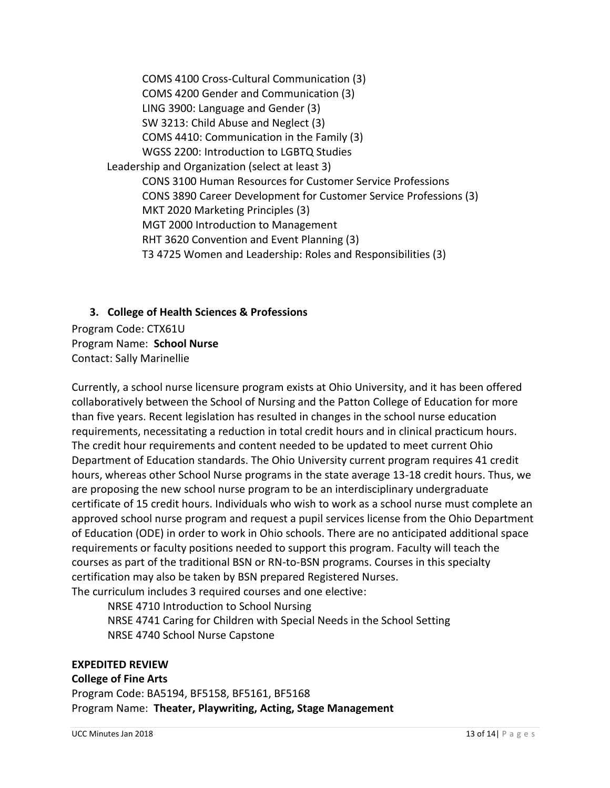COMS 4100 Cross-Cultural Communication (3) COMS 4200 Gender and Communication (3) LING 3900: Language and Gender (3) SW 3213: Child Abuse and Neglect (3) COMS 4410: Communication in the Family (3) WGSS 2200: Introduction to LGBTQ Studies Leadership and Organization (select at least 3) CONS 3100 Human Resources for Customer Service Professions CONS 3890 Career Development for Customer Service Professions (3) MKT 2020 Marketing Principles (3) MGT 2000 Introduction to Management RHT 3620 Convention and Event Planning (3) T3 4725 Women and Leadership: Roles and Responsibilities (3)

# **3. College of Health Sciences & Professions** Program Code: CTX61U Program Name: **School Nurse**  Contact: Sally Marinellie

Currently, a school nurse licensure program exists at Ohio University, and it has been offered collaboratively between the School of Nursing and the Patton College of Education for more than five years. Recent legislation has resulted in changes in the school nurse education requirements, necessitating a reduction in total credit hours and in clinical practicum hours. The credit hour requirements and content needed to be updated to meet current Ohio Department of Education standards. The Ohio University current program requires 41 credit hours, whereas other School Nurse programs in the state average 13-18 credit hours. Thus, we are proposing the new school nurse program to be an interdisciplinary undergraduate certificate of 15 credit hours. Individuals who wish to work as a school nurse must complete an approved school nurse program and request a pupil services license from the Ohio Department of Education (ODE) in order to work in Ohio schools. There are no anticipated additional space requirements or faculty positions needed to support this program. Faculty will teach the courses as part of the traditional BSN or RN-to-BSN programs. Courses in this specialty certification may also be taken by BSN prepared Registered Nurses. The curriculum includes 3 required courses and one elective:

NRSE 4710 Introduction to School Nursing NRSE 4741 Caring for Children with Special Needs in the School Setting NRSE 4740 School Nurse Capstone

## **EXPEDITED REVIEW**

#### **College of Fine Arts**

Program Code: BA5194, BF5158, BF5161, BF5168 Program Name: **Theater, Playwriting, Acting, Stage Management**